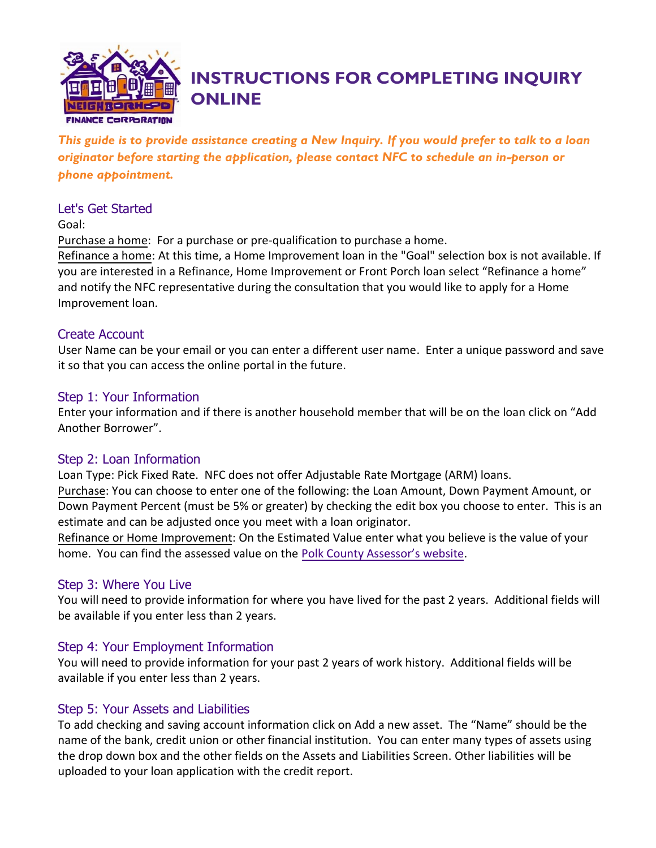

# **INSTRUCTIONS FOR COMPLETING INQUIRY ONLINE**

*This guide is to provide assistance creating a New Inquiry. If you would prefer to talk to a loan originator before starting the application, please contact NFC to schedule an in-person or phone appointment.*

## Let's Get Started

Goal:

Purchase a home: For a purchase or pre-qualification to purchase a home.

Refinance a home: At this time, a Home Improvement loan in the "Goal" selection box is not available. If you are interested in a Refinance, Home Improvement or Front Porch loan select "Refinance a home" and notify the NFC representative during the consultation that you would like to apply for a Home Improvement loan.

## Create Account

User Name can be your email or you can enter a different user name. Enter a unique password and save it so that you can access the online portal in the future.

## Step 1: Your Information

Enter your information and if there is another household member that will be on the loan click on "Add Another Borrower".

## Step 2: Loan Information

Loan Type: Pick Fixed Rate. NFC does not offer Adjustable Rate Mortgage (ARM) loans. Purchase: You can choose to enter one of the following: the Loan Amount, Down Payment Amount, or Down Payment Percent (must be 5% or greater) by checking the edit box you choose to enter. This is an estimate and can be adjusted once you meet with a loan originator.

Refinance or Home Improvement: On the Estimated Value enter what you believe is the value of your home. You can find the assessed value on the [Polk County Assessor's website](http://web.assess.co.polk.ia.us/cgi-bin/web/tt/form.cgi?tt=simplegeneralform).

# Step 3: Where You Live

You will need to provide information for where you have lived for the past 2 years. Additional fields will be available if you enter less than 2 years.

# Step 4: Your Employment Information

You will need to provide information for your past 2 years of work history. Additional fields will be available if you enter less than 2 years.

## Step 5: Your Assets and Liabilities

To add checking and saving account information click on Add a new asset. The "Name" should be the name of the bank, credit union or other financial institution. You can enter many types of assets using the drop down box and the other fields on the Assets and Liabilities Screen. Other liabilities will be uploaded to your loan application with the credit report.